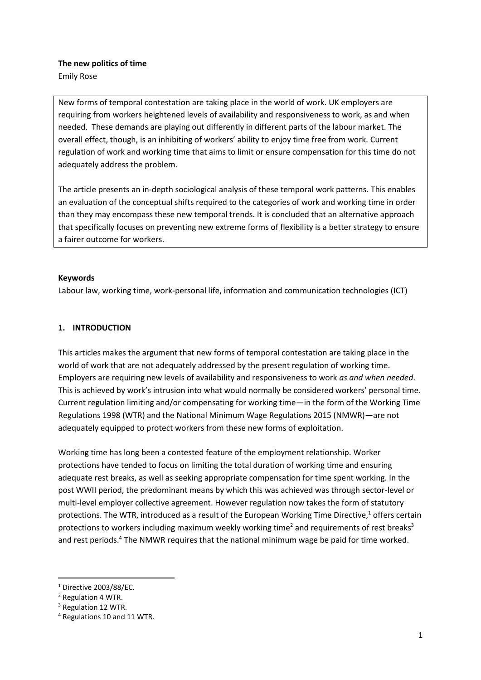# **The new politics of time**

Emily Rose

New forms of temporal contestation are taking place in the world of work. UK employers are requiring from workers heightened levels of availability and responsiveness to work, as and when needed. These demands are playing out differently in different parts of the labour market. The overall effect, though, is an inhibiting of workers' ability to enjoy time free from work. Current regulation of work and working time that aims to limit or ensure compensation for this time do not adequately address the problem.

The article presents an in-depth sociological analysis of these temporal work patterns. This enables an evaluation of the conceptual shifts required to the categories of work and working time in order than they may encompass these new temporal trends. It is concluded that an alternative approach that specifically focuses on preventing new extreme forms of flexibility is a better strategy to ensure a fairer outcome for workers.

# **Keywords**

Labour law, working time, work-personal life, information and communication technologies (ICT)

# **1. INTRODUCTION**

This articles makes the argument that new forms of temporal contestation are taking place in the world of work that are not adequately addressed by the present regulation of working time. Employers are requiring new levels of availability and responsiveness to work *as and when needed*. This is achieved by work's intrusion into what would normally be considered workers' personal time. Current regulation limiting and/or compensating for working time—in the form of the Working Time Regulations 1998 (WTR) and the National Minimum Wage Regulations 2015 (NMWR)—are not adequately equipped to protect workers from these new forms of exploitation.

Working time has long been a contested feature of the employment relationship. Worker protections have tended to focus on limiting the total duration of working time and ensuring adequate rest breaks, as well as seeking appropriate compensation for time spent working. In the post WWII period, the predominant means by which this was achieved was through sector-level or multi-level employer collective agreement. However regulation now takes the form of statutory protections. The WTR, introduced as a result of the European Working Time Directive, $1$  offers certain protections to workers including maximum weekly working time<sup>2</sup> and requirements of rest breaks<sup>3</sup> and rest periods.<sup>4</sup> The NMWR requires that the national minimum wage be paid for time worked.

<sup>1</sup> Directive 2003/88/EC.

<sup>2</sup> Regulation 4 WTR.

<sup>&</sup>lt;sup>3</sup> Regulation 12 WTR.

<sup>4</sup> Regulations 10 and 11 WTR.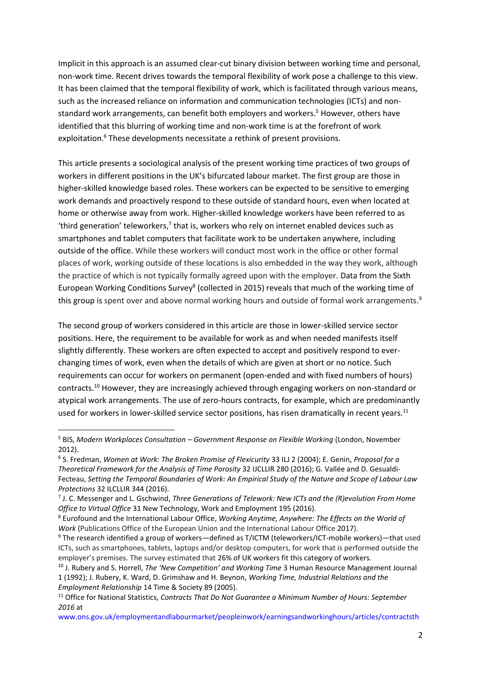Implicit in this approach is an assumed clear-cut binary division between working time and personal, non-work time. Recent drives towards the temporal flexibility of work pose a challenge to this view. It has been claimed that the temporal flexibility of work, which is facilitated through various means, such as the increased reliance on information and communication technologies (ICTs) and nonstandard work arrangements, can benefit both employers and workers.<sup>5</sup> However, others have identified that this blurring of working time and non-work time is at the forefront of work exploitation.<sup>6</sup> These developments necessitate a rethink of present provisions.

This article presents a sociological analysis of the present working time practices of two groups of workers in different positions in the UK's bifurcated labour market. The first group are those in higher-skilled knowledge based roles. These workers can be expected to be sensitive to emerging work demands and proactively respond to these outside of standard hours, even when located at home or otherwise away from work. Higher-skilled knowledge workers have been referred to as 'third generation' teleworkers, $7$  that is, workers who rely on internet enabled devices such as smartphones and tablet computers that facilitate work to be undertaken anywhere, including outside of the office. While these workers will conduct most work in the office or other formal places of work, working outside of these locations is also embedded in the way they work, although the practice of which is not typically formally agreed upon with the employer. Data from the Sixth European Working Conditions Survey<sup>8</sup> (collected in 2015) reveals that much of the working time of this group is spent over and above normal working hours and outside of formal work arrangements.<sup>9</sup>

The second group of workers considered in this article are those in lower-skilled service sector positions. Here, the requirement to be available for work as and when needed manifests itself slightly differently. These workers are often expected to accept and positively respond to everchanging times of work, even when the details of which are given at short or no notice. Such requirements can occur for workers on permanent (open-ended and with fixed numbers of hours) contracts.<sup>10</sup> However, they are increasingly achieved through engaging workers on non-standard or atypical work arrangements. The use of zero-hours contracts, for example, which are predominantly used for workers in lower-skilled service sector positions, has risen dramatically in recent years.<sup>11</sup>

<sup>5</sup> BIS, *Modern Workplaces Consultation – Government Response on Flexible Working* (London, November 2012).

<sup>6</sup> S. Fredman, *Women at Work: The Broken Promise of Flexicurity* 33 ILJ 2 (2004); E. Genin, *Proposal for a Theoretical Framework for the Analysis of Time Porosity* 32 IJCLLIR 280 (2016); G. Vallée and D. Gesualdi-Fecteau, *Setting the Temporal Boundaries of Work: An Empirical Study of the Nature and Scope of Labour Law Protections* 32 ILCLLIR 344 (2016).

<sup>7</sup> J. C. Messenger and L. Gschwind, *Three Generations of Telework: New ICTs and the (R)evolution From Home Office to Virtual Office* 31 New Technology, Work and Employment 195 (2016).

<sup>8</sup> Eurofound and the International Labour Office, *Working Anytime, Anywhere: The Effects on the World of Work* (Publications Office of the European Union and the International Labour Office 2017).

<sup>9</sup> The research identified a group of workers—defined as T/ICTM (teleworkers/ICT-mobile workers)—that used ICTs, such as smartphones, tablets, laptops and/or desktop computers, for work that is performed outside the employer's premises. The survey estimated that 26% of UK workers fit this category of workers.

<sup>10</sup> J. Rubery and S. Horrell, *The 'New Competition' and Working Time* 3 Human Resource Management Journal 1 (1992); J. Rubery, K. Ward, D. Grimshaw and H. Beynon, *Working Time, Industrial Relations and the Employment Relationship* 14 Time & Society 89 (2005).

<sup>11</sup> Office for National Statistics, *Contracts That Do Not Guarantee a Minimum Number of Hours: September 2016* at

[www.ons.gov.uk/employmentandlabourmarket/peopleinwork/earningsandworkinghours/articles/contractsth](http://www.ons.gov.uk/employmentandlabourmarket/peopleinwork/earningsandworkinghours/articles/contractsthatdonotguaranteeaminimumnumberofhours/september2016)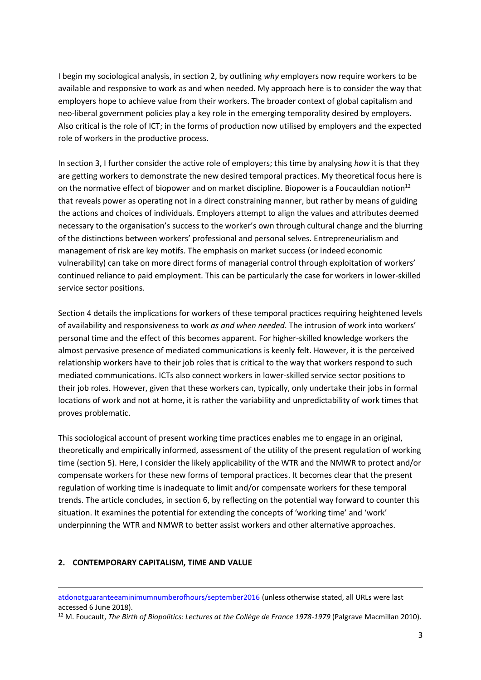I begin my sociological analysis, in section 2, by outlining *why* employers now require workers to be available and responsive to work as and when needed. My approach here is to consider the way that employers hope to achieve value from their workers. The broader context of global capitalism and neo-liberal government policies play a key role in the emerging temporality desired by employers. Also critical is the role of ICT; in the forms of production now utilised by employers and the expected role of workers in the productive process.

In section 3, I further consider the active role of employers; this time by analysing *how* it is that they are getting workers to demonstrate the new desired temporal practices. My theoretical focus here is on the normative effect of biopower and on market discipline. Biopower is a Foucauldian notion<sup>12</sup> that reveals power as operating not in a direct constraining manner, but rather by means of guiding the actions and choices of individuals. Employers attempt to align the values and attributes deemed necessary to the organisation's success to the worker's own through cultural change and the blurring of the distinctions between workers' professional and personal selves. Entrepreneurialism and management of risk are key motifs. The emphasis on market success (or indeed economic vulnerability) can take on more direct forms of managerial control through exploitation of workers' continued reliance to paid employment. This can be particularly the case for workers in lower-skilled service sector positions.

Section 4 details the implications for workers of these temporal practices requiring heightened levels of availability and responsiveness to work *as and when needed*. The intrusion of work into workers' personal time and the effect of this becomes apparent. For higher-skilled knowledge workers the almost pervasive presence of mediated communications is keenly felt. However, it is the perceived relationship workers have to their job roles that is critical to the way that workers respond to such mediated communications. ICTs also connect workers in lower-skilled service sector positions to their job roles. However, given that these workers can, typically, only undertake their jobs in formal locations of work and not at home, it is rather the variability and unpredictability of work times that proves problematic.

This sociological account of present working time practices enables me to engage in an original, theoretically and empirically informed, assessment of the utility of the present regulation of working time (section 5). Here, I consider the likely applicability of the WTR and the NMWR to protect and/or compensate workers for these new forms of temporal practices. It becomes clear that the present regulation of working time is inadequate to limit and/or compensate workers for these temporal trends. The article concludes, in section 6, by reflecting on the potential way forward to counter this situation. It examines the potential for extending the concepts of 'working time' and 'work' underpinning the WTR and NMWR to better assist workers and other alternative approaches.

### **2. CONTEMPORARY CAPITALISM, TIME AND VALUE**

**.** 

<sup>12</sup> M. Foucault, *The Birth of Biopolitics: Lectures at the Collège de France 1978-1979* (Palgrave Macmillan 2010).

[atdonotguaranteeaminimumnumberofhours/september2016](http://www.ons.gov.uk/employmentandlabourmarket/peopleinwork/earningsandworkinghours/articles/contractsthatdonotguaranteeaminimumnumberofhours/september2016) (unless otherwise stated, all URLs were last accessed 6 June 2018).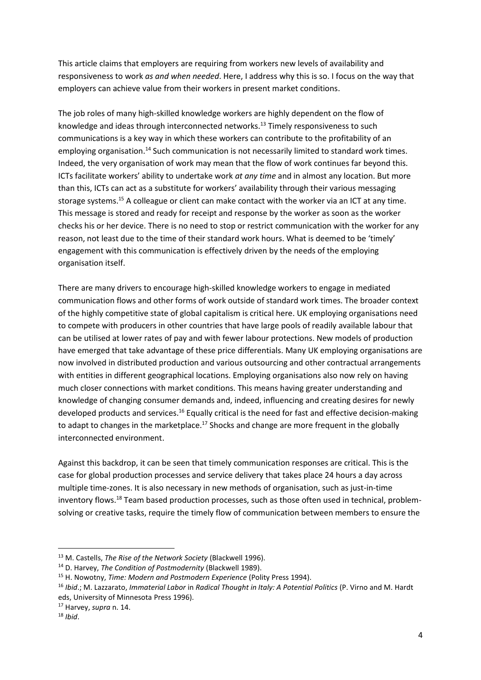This article claims that employers are requiring from workers new levels of availability and responsiveness to work *as and when needed*. Here, I address why this is so. I focus on the way that employers can achieve value from their workers in present market conditions.

The job roles of many high-skilled knowledge workers are highly dependent on the flow of knowledge and ideas through interconnected networks.<sup>13</sup> Timely responsiveness to such communications is a key way in which these workers can contribute to the profitability of an employing organisation.<sup>14</sup> Such communication is not necessarily limited to standard work times. Indeed, the very organisation of work may mean that the flow of work continues far beyond this. ICTs facilitate workers' ability to undertake work *at any time* and in almost any location. But more than this, ICTs can act as a substitute for workers' availability through their various messaging storage systems.<sup>15</sup> A colleague or client can make contact with the worker via an ICT at any time. This message is stored and ready for receipt and response by the worker as soon as the worker checks his or her device. There is no need to stop or restrict communication with the worker for any reason, not least due to the time of their standard work hours. What is deemed to be 'timely' engagement with this communication is effectively driven by the needs of the employing organisation itself.

There are many drivers to encourage high-skilled knowledge workers to engage in mediated communication flows and other forms of work outside of standard work times. The broader context of the highly competitive state of global capitalism is critical here. UK employing organisations need to compete with producers in other countries that have large pools of readily available labour that can be utilised at lower rates of pay and with fewer labour protections. New models of production have emerged that take advantage of these price differentials. Many UK employing organisations are now involved in distributed production and various outsourcing and other contractual arrangements with entities in different geographical locations. Employing organisations also now rely on having much closer connections with market conditions. This means having greater understanding and knowledge of changing consumer demands and, indeed, influencing and creating desires for newly developed products and services.<sup>16</sup> Equally critical is the need for fast and effective decision-making to adapt to changes in the marketplace.<sup>17</sup> Shocks and change are more frequent in the globally interconnected environment.

Against this backdrop, it can be seen that timely communication responses are critical. This is the case for global production processes and service delivery that takes place 24 hours a day across multiple time-zones. It is also necessary in new methods of organisation, such as just-in-time inventory flows.<sup>18</sup> Team based production processes, such as those often used in technical, problemsolving or creative tasks, require the timely flow of communication between members to ensure the

<sup>13</sup> M. Castells, *The Rise of the Network Society* (Blackwell 1996).

<sup>14</sup> D. Harvey, *The Condition of Postmodernity* (Blackwell 1989).

<sup>15</sup> H. Nowotny, *Time: Modern and Postmodern Experience* (Polity Press 1994).

<sup>16</sup> *Ibid*.; M. Lazzarato, *Immaterial Labor* in *Radical Thought in Italy: A Potential Politics* (P. Virno and M. Hardt eds, University of Minnesota Press 1996).

<sup>17</sup> Harvey, *supra* n. 14.

<sup>18</sup> *Ibid*.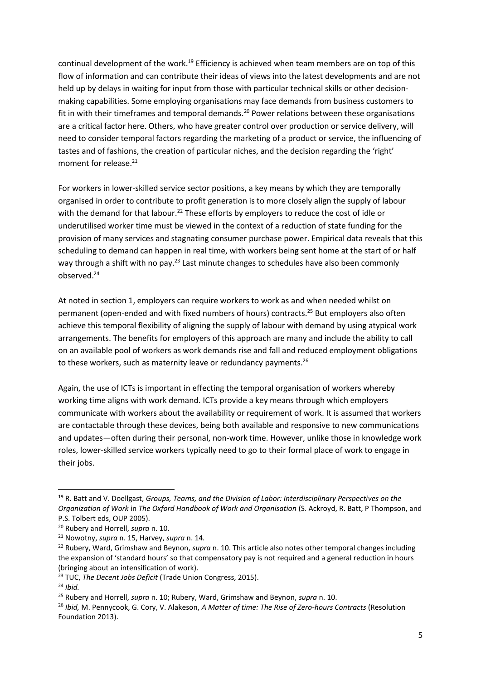continual development of the work.<sup>19</sup> Efficiency is achieved when team members are on top of this flow of information and can contribute their ideas of views into the latest developments and are not held up by delays in waiting for input from those with particular technical skills or other decisionmaking capabilities. Some employing organisations may face demands from business customers to fit in with their timeframes and temporal demands.<sup>20</sup> Power relations between these organisations are a critical factor here. Others, who have greater control over production or service delivery, will need to consider temporal factors regarding the marketing of a product or service, the influencing of tastes and of fashions, the creation of particular niches, and the decision regarding the 'right' moment for release.<sup>21</sup>

For workers in lower-skilled service sector positions, a key means by which they are temporally organised in order to contribute to profit generation is to more closely align the supply of labour with the demand for that labour.<sup>22</sup> These efforts by employers to reduce the cost of idle or underutilised worker time must be viewed in the context of a reduction of state funding for the provision of many services and stagnating consumer purchase power. Empirical data reveals that this scheduling to demand can happen in real time, with workers being sent home at the start of or half way through a shift with no pay.<sup>23</sup> Last minute changes to schedules have also been commonly observed.<sup>24</sup>

At noted in section 1, employers can require workers to work as and when needed whilst on permanent (open-ended and with fixed numbers of hours) contracts.<sup>25</sup> But employers also often achieve this temporal flexibility of aligning the supply of labour with demand by using atypical work arrangements. The benefits for employers of this approach are many and include the ability to call on an available pool of workers as work demands rise and fall and reduced employment obligations to these workers, such as maternity leave or redundancy payments.<sup>26</sup>

Again, the use of ICTs is important in effecting the temporal organisation of workers whereby working time aligns with work demand. ICTs provide a key means through which employers communicate with workers about the availability or requirement of work. It is assumed that workers are contactable through these devices, being both available and responsive to new communications and updates—often during their personal, non-work time. However, unlike those in knowledge work roles, lower-skilled service workers typically need to go to their formal place of work to engage in their jobs.

<sup>19</sup> R. Batt and V. Doellgast, *Groups, Teams, and the Division of Labor: Interdisciplinary Perspectives on the Organization of Work* in *The Oxford Handbook of Work and Organisation* (S. Ackroyd, R. Batt, P Thompson, and P.S. Tolbert eds, OUP 2005).

<sup>20</sup> Rubery and Horrell, *supra* n. 10.

<sup>21</sup> Nowotny, *supra* n. 15, Harvey, *supra* n. 14*.*

<sup>22</sup> Rubery, Ward, Grimshaw and Beynon, *supra* n. 10. This article also notes other temporal changes including the expansion of 'standard hours' so that compensatory pay is not required and a general reduction in hours (bringing about an intensification of work).

<sup>23</sup> TUC, *The Decent Jobs Deficit* (Trade Union Congress, 2015).

<sup>24</sup> *Ibid.*

<sup>25</sup> Rubery and Horrell, *supra* n. 10; Rubery, Ward, Grimshaw and Beynon, *supra* n. 10.

<sup>26</sup> *Ibid,* M. Pennycook, G. Cory, V. Alakeson, *A Matter of time: The Rise of Zero-hours Contracts* (Resolution Foundation 2013).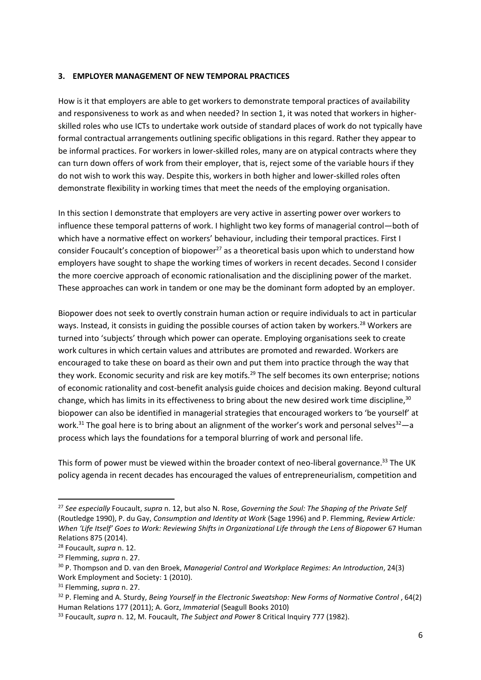### **3. EMPLOYER MANAGEMENT OF NEW TEMPORAL PRACTICES**

How is it that employers are able to get workers to demonstrate temporal practices of availability and responsiveness to work as and when needed? In section 1, it was noted that workers in higherskilled roles who use ICTs to undertake work outside of standard places of work do not typically have formal contractual arrangements outlining specific obligations in this regard. Rather they appear to be informal practices. For workers in lower-skilled roles, many are on atypical contracts where they can turn down offers of work from their employer, that is, reject some of the variable hours if they do not wish to work this way. Despite this, workers in both higher and lower-skilled roles often demonstrate flexibility in working times that meet the needs of the employing organisation.

In this section I demonstrate that employers are very active in asserting power over workers to influence these temporal patterns of work. I highlight two key forms of managerial control—both of which have a normative effect on workers' behaviour, including their temporal practices. First I consider Foucault's conception of biopower $^{27}$  as a theoretical basis upon which to understand how employers have sought to shape the working times of workers in recent decades. Second I consider the more coercive approach of economic rationalisation and the disciplining power of the market. These approaches can work in tandem or one may be the dominant form adopted by an employer.

Biopower does not seek to overtly constrain human action or require individuals to act in particular ways. Instead, it consists in guiding the possible courses of action taken by workers.<sup>28</sup> Workers are turned into 'subjects' through which power can operate. Employing organisations seek to create work cultures in which certain values and attributes are promoted and rewarded. Workers are encouraged to take these on board as their own and put them into practice through the way that they work. Economic security and risk are key motifs.<sup>29</sup> The self becomes its own enterprise; notions of economic rationality and cost-benefit analysis guide choices and decision making. Beyond cultural change, which has limits in its effectiveness to bring about the new desired work time discipline,<sup>30</sup> biopower can also be identified in managerial strategies that encouraged workers to 'be yourself' at work.<sup>31</sup> The goal here is to bring about an alignment of the worker's work and personal selves<sup>32</sup>—a process which lays the foundations for a temporal blurring of work and personal life.

This form of power must be viewed within the broader context of neo-liberal governance.<sup>33</sup> The UK policy agenda in recent decades has encouraged the values of entrepreneurialism, competition and

<sup>27</sup> *See especially* Foucault, *supra* n. 12, but also N. Rose, *Governing the Soul: The Shaping of the Private Self*  (Routledge 1990), P. du Gay, *Consumption and Identity at Work* (Sage 1996) and P. Flemming, *Review Article: When 'Life Itself' Goes to Work: Reviewing Shifts in Organizational Life through the Lens of Biopower* 67 Human Relations 875 (2014).

<sup>28</sup> Foucault, *supra* n. 12.

<sup>29</sup> Flemming, *supra* n. 27.

<sup>30</sup> P. Thompson and D. van den Broek, *Managerial Control and Workplace Regimes: An Introduction*, 24(3) Work Employment and Society: 1 (2010).

<sup>31</sup> Flemming, *supra* n. 27.

<sup>32</sup> P. Fleming and A. Sturdy, *Being Yourself in the Electronic Sweatshop: New Forms of Normative Control* , 64(2) Human Relations 177 (2011); A. Gorz, *Immaterial* (Seagull Books 2010)

<sup>33</sup> Foucault, *supra* n. 12, M. Foucault, *The Subject and Power* 8 Critical Inquiry 777 (1982).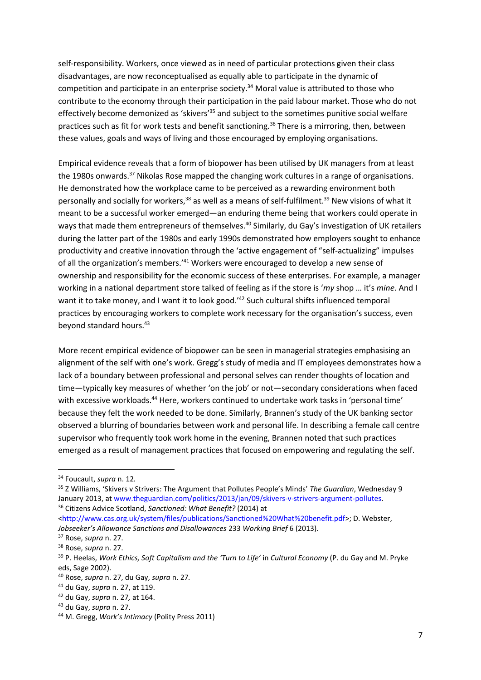self-responsibility. Workers, once viewed as in need of particular protections given their class disadvantages, are now reconceptualised as equally able to participate in the dynamic of competition and participate in an enterprise society.<sup>34</sup> Moral value is attributed to those who contribute to the economy through their participation in the paid labour market. Those who do not effectively become demonized as 'skivers'<sup>35</sup> and subject to the sometimes punitive social welfare practices such as fit for work tests and benefit sanctioning.<sup>36</sup> There is a mirroring, then, between these values, goals and ways of living and those encouraged by employing organisations.

Empirical evidence reveals that a form of biopower has been utilised by UK managers from at least the 1980s onwards.<sup>37</sup> Nikolas Rose mapped the changing work cultures in a range of organisations. He demonstrated how the workplace came to be perceived as a rewarding environment both personally and socially for workers,<sup>38</sup> as well as a means of self-fulfilment.<sup>39</sup> New visions of what it meant to be a successful worker emerged—an enduring theme being that workers could operate in ways that made them entrepreneurs of themselves.<sup>40</sup> Similarly, du Gay's investigation of UK retailers during the latter part of the 1980s and early 1990s demonstrated how employers sought to enhance productivity and creative innovation through the 'active engagement of "self-actualizing" impulses of all the organization's members.<sup>'41</sup> Workers were encouraged to develop a new sense of ownership and responsibility for the economic success of these enterprises. For example, a manager working in a national department store talked of feeling as if the store is '*my* shop … it's *mine*. And I want it to take money, and I want it to look good.<sup>'42</sup> Such cultural shifts influenced temporal practices by encouraging workers to complete work necessary for the organisation's success, even beyond standard hours.<sup>43</sup>

More recent empirical evidence of biopower can be seen in managerial strategies emphasising an alignment of the self with one's work. Gregg's study of media and IT employees demonstrates how a lack of a boundary between professional and personal selves can render thoughts of location and time—typically key measures of whether 'on the job' or not—secondary considerations when faced with excessive workloads.<sup>44</sup> Here, workers continued to undertake work tasks in 'personal time' because they felt the work needed to be done. Similarly, Brannen's study of the UK banking sector observed a blurring of boundaries between work and personal life. In describing a female call centre supervisor who frequently took work home in the evening, Brannen noted that such practices emerged as a result of management practices that focused on empowering and regulating the self.

<sup>34</sup> Foucault, *supra* n. 12*.*

<sup>35</sup> Z Williams, 'Skivers v Strivers: The Argument that Pollutes People's Minds' *The Guardian*, Wednesday 9 January 2013, at [www.theguardian.com/politics/2013/jan/09/skivers-v-strivers-argument-pollutes.](http://www.theguardian.com/politics/2013/jan/09/skivers-v-strivers-argument-pollutes) <sup>36</sup> Citizens Advice Scotland, *Sanctioned: What Benefit?* (2014) at

[<sup>&</sup>lt;http://www.cas.org.uk/system/files/publications/Sanctioned%20What%20benefit.pdf>](http://www.cas.org.uk/system/files/publications/Sanctioned%20What%20benefit.pdf); D. Webster, *Jobseeker's Allowance Sanctions and Disallowances* 233 *Working Brief* 6 (2013).

<sup>37</sup> Rose, *supra* n. 27.

<sup>38</sup> Rose, *supra* n. 27.

<sup>39</sup> P. Heelas, *Work Ethics, Soft Capitalism and the 'Turn to Life'* in *Cultural Economy* (P. du Gay and M. Pryke eds, Sage 2002).

<sup>40</sup> Rose, *supra* n. 27, du Gay, *supra* n. 27*.*

<sup>41</sup> du Gay, *supra* n. 27, at 119.

<sup>42</sup> du Gay, *supra* n. 27*,* at 164.

<sup>43</sup> du Gay, *supra* n. 27.

<sup>44</sup> M. Gregg, *Work's Intimacy* (Polity Press 2011)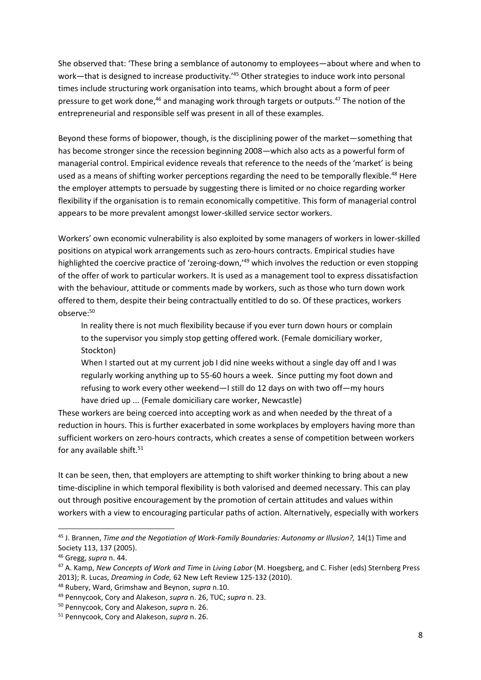She observed that: 'These bring a semblance of autonomy to employees—about where and when to work—that is designed to increase productivity.'<sup>45</sup> Other strategies to induce work into personal times include structuring work organisation into teams, which brought about a form of peer pressure to get work done,<sup>46</sup> and managing work through targets or outputs.<sup>47</sup> The notion of the entrepreneurial and responsible self was present in all of these examples.

Beyond these forms of biopower, though, is the disciplining power of the market—something that has become stronger since the recession beginning 2008—which also acts as a powerful form of managerial control. Empirical evidence reveals that reference to the needs of the 'market' is being used as a means of shifting worker perceptions regarding the need to be temporally flexible.<sup>48</sup> Here the employer attempts to persuade by suggesting there is limited or no choice regarding worker flexibility if the organisation is to remain economically competitive. This form of managerial control appears to be more prevalent amongst lower-skilled service sector workers.

Workers' own economic vulnerability is also exploited by some managers of workers in lower-skilled positions on atypical work arrangements such as zero-hours contracts. Empirical studies have highlighted the coercive practice of 'zeroing-down,'<sup>49</sup> which involves the reduction or even stopping of the offer of work to particular workers. It is used as a management tool to express dissatisfaction with the behaviour, attitude or comments made by workers, such as those who turn down work offered to them, despite their being contractually entitled to do so. Of these practices, workers observe: 50

In reality there is not much flexibility because if you ever turn down hours or complain to the supervisor you simply stop getting offered work. (Female domiciliary worker, Stockton)

When I started out at my current job I did nine weeks without a single day off and I was regularly working anything up to 55-60 hours a week. Since putting my foot down and refusing to work every other weekend—I still do 12 days on with two off—my hours have dried up ... (Female domiciliary care worker, Newcastle)

These workers are being coerced into accepting work as and when needed by the threat of a reduction in hours. This is further exacerbated in some workplaces by employers having more than sufficient workers on zero-hours contracts, which creates a sense of competition between workers for any available shift. $51$ 

It can be seen, then, that employers are attempting to shift worker thinking to bring about a new time-discipline in which temporal flexibility is both valorised and deemed necessary. This can play out through positive encouragement by the promotion of certain attitudes and values within workers with a view to encouraging particular paths of action. Alternatively, especially with workers

<sup>&</sup>lt;sup>45</sup> J. Brannen, *Time and the Negotiation of Work-Family Boundaries: Autonomy or Illusion?*, 14(1) Time and Society 113, 137 (2005).

<sup>46</sup> Gregg, *supra* n. 44.

<sup>47</sup> A. Kamp, *New Concepts of Work and Time* in *Living Labor* (M. Hoegsberg, and C. Fisher (eds) Sternberg Press 2013); R. Lucas, *Dreaming in Code,* 62 New Left Review 125-132 (2010).

<sup>48</sup> Rubery, Ward, Grimshaw and Beynon, *supra* n.10.

<sup>49</sup> Pennycook, Cory and Alakeson, *supra* n. 26, TUC; *supra* n. 23.

<sup>50</sup> Pennycook, Cory and Alakeson, *supra* n. 26.

<sup>51</sup> Pennycook, Cory and Alakeson, *supra* n. 26.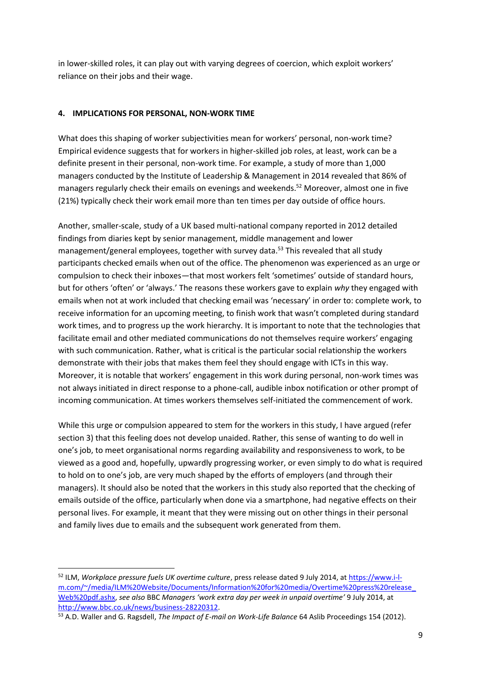in lower-skilled roles, it can play out with varying degrees of coercion, which exploit workers' reliance on their jobs and their wage.

# **4. IMPLICATIONS FOR PERSONAL, NON-WORK TIME**

What does this shaping of worker subjectivities mean for workers' personal, non-work time? Empirical evidence suggests that for workers in higher-skilled job roles, at least, work can be a definite present in their personal, non-work time. For example, a study of more than 1,000 managers conducted by the Institute of Leadership & Management in 2014 revealed that 86% of managers regularly check their emails on evenings and weekends.<sup>52</sup> Moreover, almost one in five (21%) typically check their work email more than ten times per day outside of office hours.

Another, smaller-scale, study of a UK based multi-national company reported in 2012 detailed findings from diaries kept by senior management, middle management and lower management/general employees, together with survey data.<sup>53</sup> This revealed that all study participants checked emails when out of the office. The phenomenon was experienced as an urge or compulsion to check their inboxes—that most workers felt 'sometimes' outside of standard hours, but for others 'often' or 'always.' The reasons these workers gave to explain *why* they engaged with emails when not at work included that checking email was 'necessary' in order to: complete work, to receive information for an upcoming meeting, to finish work that wasn't completed during standard work times, and to progress up the work hierarchy. It is important to note that the technologies that facilitate email and other mediated communications do not themselves require workers' engaging with such communication. Rather, what is critical is the particular social relationship the workers demonstrate with their jobs that makes them feel they should engage with ICTs in this way. Moreover, it is notable that workers' engagement in this work during personal, non-work times was not always initiated in direct response to a phone-call, audible inbox notification or other prompt of incoming communication. At times workers themselves self-initiated the commencement of work.

While this urge or compulsion appeared to stem for the workers in this study, I have argued (refer section 3) that this feeling does not develop unaided. Rather, this sense of wanting to do well in one's job, to meet organisational norms regarding availability and responsiveness to work, to be viewed as a good and, hopefully, upwardly progressing worker, or even simply to do what is required to hold on to one's job, are very much shaped by the efforts of employers (and through their managers). It should also be noted that the workers in this study also reported that the checking of emails outside of the office, particularly when done via a smartphone, had negative effects on their personal lives. For example, it meant that they were missing out on other things in their personal and family lives due to emails and the subsequent work generated from them.

<sup>52</sup> ILM, *Workplace pressure fuels UK overtime culture*, press release dated 9 July 2014, at [https://www.i-l](https://www.i-l-m.com/~/media/ILM%20Website/Documents/Information%20for%20media/Overtime%20press%20release_Web%20pdf.ashx)[m.com/~/media/ILM%20Website/Documents/Information%20for%20media/Overtime%20press%20release\\_](https://www.i-l-m.com/~/media/ILM%20Website/Documents/Information%20for%20media/Overtime%20press%20release_Web%20pdf.ashx) [Web%20pdf.ashx,](https://www.i-l-m.com/~/media/ILM%20Website/Documents/Information%20for%20media/Overtime%20press%20release_Web%20pdf.ashx) *see also* BBC *Managers 'work extra day per week in unpaid overtime'* 9 July 2014, at [http://www.bbc.co.uk/news/business-28220312.](http://www.bbc.co.uk/news/business-28220312)

<sup>53</sup> A.D. Waller and G. Ragsdell, *The Impact of E-mail on Work-Life Balance* 64 Aslib Proceedings 154 (2012).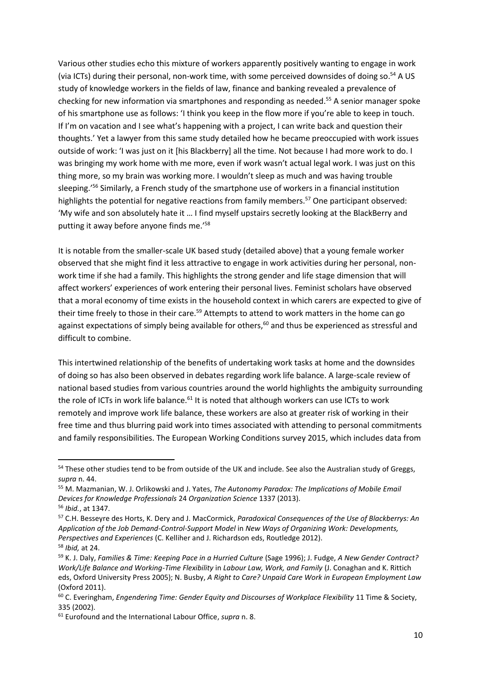Various other studies echo this mixture of workers apparently positively wanting to engage in work (via ICTs) during their personal, non-work time, with some perceived downsides of doing so.<sup>54</sup> A US study of knowledge workers in the fields of law, finance and banking revealed a prevalence of checking for new information via smartphones and responding as needed.<sup>55</sup> A senior manager spoke of his smartphone use as follows: 'I think you keep in the flow more if you're able to keep in touch. If I'm on vacation and I see what's happening with a project, I can write back and question their thoughts.' Yet a lawyer from this same study detailed how he became preoccupied with work issues outside of work: 'I was just on it [his Blackberry] all the time. Not because I had more work to do. I was bringing my work home with me more, even if work wasn't actual legal work. I was just on this thing more, so my brain was working more. I wouldn't sleep as much and was having trouble sleeping.' <sup>56</sup> Similarly, a French study of the smartphone use of workers in a financial institution highlights the potential for negative reactions from family members.<sup>57</sup> One participant observed: 'My wife and son absolutely hate it … I find myself upstairs secretly looking at the BlackBerry and putting it away before anyone finds me.' 58

It is notable from the smaller-scale UK based study (detailed above) that a young female worker observed that she might find it less attractive to engage in work activities during her personal, nonwork time if she had a family. This highlights the strong gender and life stage dimension that will affect workers' experiences of work entering their personal lives. Feminist scholars have observed that a moral economy of time exists in the household context in which carers are expected to give of their time freely to those in their care.<sup>59</sup> Attempts to attend to work matters in the home can go against expectations of simply being available for others,<sup>60</sup> and thus be experienced as stressful and difficult to combine.

This intertwined relationship of the benefits of undertaking work tasks at home and the downsides of doing so has also been observed in debates regarding work life balance. A large-scale review of national based studies from various countries around the world highlights the ambiguity surrounding the role of ICTs in work life balance. $61$  It is noted that although workers can use ICTs to work remotely and improve work life balance, these workers are also at greater risk of working in their free time and thus blurring paid work into times associated with attending to personal commitments and family responsibilities. The European Working Conditions survey 2015, which includes data from

<sup>&</sup>lt;sup>54</sup> These other studies tend to be from outside of the UK and include. See also the Australian study of Greggs, *supra* n. 44.

<sup>55</sup> M. Mazmanian, W. J. Orlikowski and J. Yates, *The Autonomy Paradox: The Implications of Mobile Email Devices for Knowledge Professionals* 24 *Organization Science* 1337 (2013). <sup>56</sup> *Ibid.*, at 1347.

<sup>57</sup> C.H. Besseyre des Horts, K. Dery and J. MacCormick, *Paradoxical Consequences of the Use of Blackberrys: An Application of the Job Demand-Control-Support Model* in *New Ways of Organizing Work: Developments, Perspectives and Experiences* (C. Kelliher and J. Richardson eds, Routledge 2012). <sup>58</sup> *Ibid,* at 24.

<sup>59</sup> K. J. Daly, *Families & Time: Keeping Pace in a Hurried Culture* (Sage 1996); J. Fudge, *A New Gender Contract? Work/Life Balance and Working-Time Flexibility* in *Labour Law, Work, and Family* (J. Conaghan and K. Rittich eds, Oxford University Press 2005); N. Busby, *A Right to Care? Unpaid Care Work in European Employment Law*  (Oxford 2011).

<sup>60</sup> C. Everingham, *Engendering Time: Gender Equity and Discourses of Workplace Flexibility* 11 Time & Society, 335 (2002).

<sup>61</sup> Eurofound and the International Labour Office, *supra* n. 8.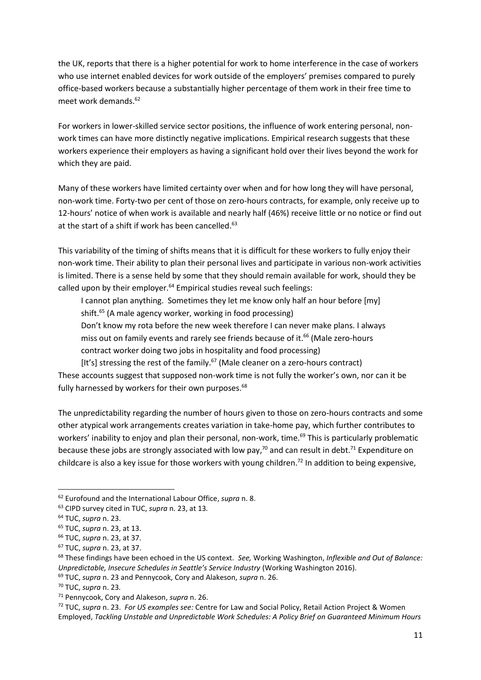the UK, reports that there is a higher potential for work to home interference in the case of workers who use internet enabled devices for work outside of the employers' premises compared to purely office-based workers because a substantially higher percentage of them work in their free time to meet work demands.<sup>62</sup>

For workers in lower-skilled service sector positions, the influence of work entering personal, nonwork times can have more distinctly negative implications. Empirical research suggests that these workers experience their employers as having a significant hold over their lives beyond the work for which they are paid.

Many of these workers have limited certainty over when and for how long they will have personal, non-work time. Forty-two per cent of those on zero-hours contracts, for example, only receive up to 12-hours' notice of when work is available and nearly half (46%) receive little or no notice or find out at the start of a shift if work has been cancelled.<sup>63</sup>

This variability of the timing of shifts means that it is difficult for these workers to fully enjoy their non-work time. Their ability to plan their personal lives and participate in various non-work activities is limited. There is a sense held by some that they should remain available for work, should they be called upon by their employer. $64$  Empirical studies reveal such feelings:

I cannot plan anything. Sometimes they let me know only half an hour before [my] shift.<sup>65</sup> (A male agency worker, working in food processing)

Don't know my rota before the new week therefore I can never make plans. I always miss out on family events and rarely see friends because of it.<sup>66</sup> (Male zero-hours contract worker doing two jobs in hospitality and food processing)

[It's] stressing the rest of the family.<sup>67</sup> (Male cleaner on a zero-hours contract) These accounts suggest that supposed non-work time is not fully the worker's own, nor can it be fully harnessed by workers for their own purposes.<sup>68</sup>

The unpredictability regarding the number of hours given to those on zero-hours contracts and some other atypical work arrangements creates variation in take-home pay, which further contributes to workers' inability to enjoy and plan their personal, non-work, time.<sup>69</sup> This is particularly problematic because these jobs are strongly associated with low pay,<sup>70</sup> and can result in debt.<sup>71</sup> Expenditure on childcare is also a key issue for those workers with young children.<sup>72</sup> In addition to being expensive,

<sup>62</sup> Eurofound and the International Labour Office, *supra* n. 8.

<sup>63</sup> CIPD survey cited in TUC, *supra* n. 23, at 13*.*

<sup>64</sup> TUC, *supra* n. 23.

<sup>65</sup> TUC, *supra* n. 23, at 13.

<sup>66</sup> TUC, *supra* n. 23, at 37.

<sup>67</sup> TUC, *supra* n. 23, at 37.

<sup>68</sup> These findings have been echoed in the US context. *See,* Working Washington, *Inflexible and Out of Balance: Unpredictable, Insecure Schedules in Seattle's Service Industry* (Working Washington 2016).

<sup>69</sup> TUC, *supra* n. 23 and Pennycook, Cory and Alakeson, *supra* n. 26.

<sup>70</sup> TUC, *supra* n. 23*.*

<sup>71</sup> Pennycook, Cory and Alakeson, *supra* n. 26.

<sup>72</sup> TUC, *supra* n. 23. *For US examples see:* Centre for Law and Social Policy, Retail Action Project & Women Employed, *Tackling Unstable and Unpredictable Work Schedules: A Policy Brief on Guaranteed Minimum Hours*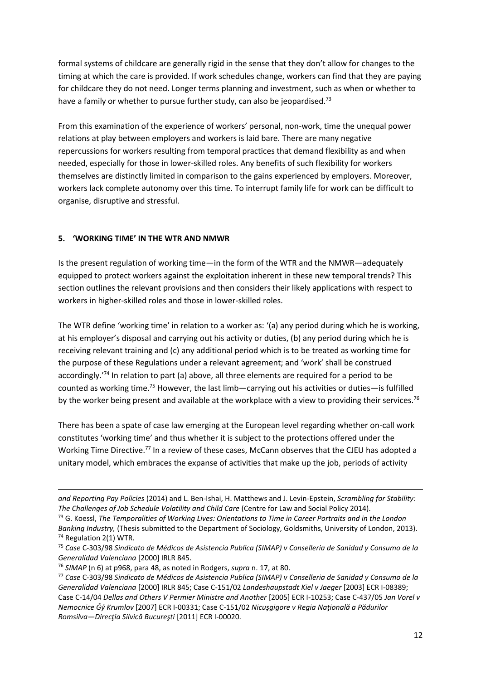formal systems of childcare are generally rigid in the sense that they don't allow for changes to the timing at which the care is provided. If work schedules change, workers can find that they are paying for childcare they do not need. Longer terms planning and investment, such as when or whether to have a family or whether to pursue further study, can also be jeopardised.<sup>73</sup>

From this examination of the experience of workers' personal, non-work, time the unequal power relations at play between employers and workers is laid bare. There are many negative repercussions for workers resulting from temporal practices that demand flexibility as and when needed, especially for those in lower-skilled roles. Any benefits of such flexibility for workers themselves are distinctly limited in comparison to the gains experienced by employers. Moreover, workers lack complete autonomy over this time. To interrupt family life for work can be difficult to organise, disruptive and stressful.

# **5. 'WORKING TIME' IN THE WTR AND NMWR**

Is the present regulation of working time—in the form of the WTR and the NMWR—adequately equipped to protect workers against the exploitation inherent in these new temporal trends? This section outlines the relevant provisions and then considers their likely applications with respect to workers in higher-skilled roles and those in lower-skilled roles.

The WTR define 'working time' in relation to a worker as: '(a) any period during which he is working, at his employer's disposal and carrying out his activity or duties, (b) any period during which he is receiving relevant training and (c) any additional period which is to be treated as working time for the purpose of these Regulations under a relevant agreement; and 'work' shall be construed accordingly.<sup>74</sup> In relation to part (a) above, all three elements are required for a period to be counted as working time.<sup>75</sup> However, the last limb—carrying out his activities or duties—is fulfilled by the worker being present and available at the workplace with a view to providing their services.<sup>76</sup>

There has been a spate of case law emerging at the European level regarding whether on-call work constitutes 'working time' and thus whether it is subject to the protections offered under the Working Time Directive.<sup>77</sup> In a review of these cases, McCann observes that the CJEU has adopted a unitary model, which embraces the expanse of activities that make up the job, periods of activity

*and Reporting Pay Policies* (2014) and L. Ben-Ishai, H. Matthews and J. Levin-Epstein, *Scrambling for Stability: The Challenges of Job Schedule Volatility and Child Care* (Centre for Law and Social Policy 2014).

<sup>73</sup> G. Koessl, *The Temporalities of Working Lives: Orientations to Time in Career Portraits and in the London Banking Industry,* (Thesis submitted to the Department of Sociology, Goldsmiths, University of London, 2013). <sup>74</sup> Regulation 2(1) WTR.

<sup>75</sup> *Case* C-303/98 *Sindicato de Médicos de Asistencia Publica (SIMAP) v Conselleria de Sanidad y Consumo de la Generalidad Valenciana* [2000] IRLR 845.

<sup>76</sup> *SIMAP* (n 6) at p968, para 48, as noted in Rodgers, *supra* n. 17, at 80.

<sup>77</sup> *Case* C-303/98 *Sindicato de Médicos de Asistencia Publica (SIMAP) v Conselleria de Sanidad y Consumo de la Generalidad Valenciana* [2000] IRLR 845; Case C-151/02 *Landeshaupstadt Kiel v Jaeger* [2003] ECR I-08389; Case C-14/04 *Dellas and Others V Permier Ministre and Another* [2005] ECR I-10253; Case C-437/05 *Jan Vorel v Nemocnice Ĝý Krumlov* [2007] ECR I-00331; Case C-151/02 *Nicuşgigore v Regia Naţională a Pădurilor Romsilva—Direcţia Silvică Bucureşti* [2011] ECR I-00020.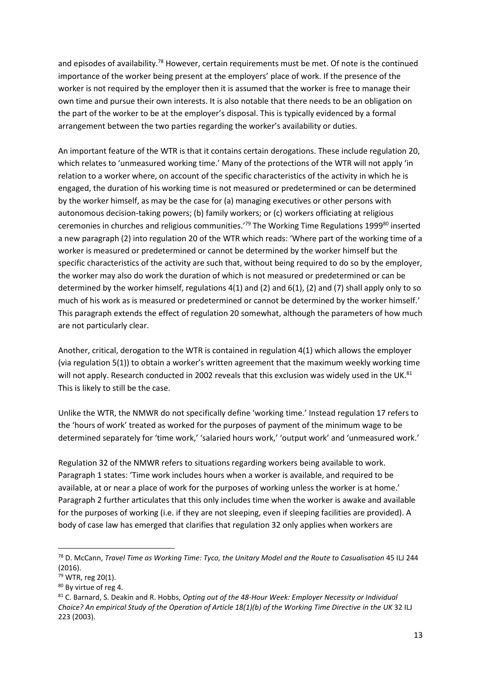and episodes of availability.<sup>78</sup> However, certain requirements must be met. Of note is the continued importance of the worker being present at the employers' place of work. If the presence of the worker is not required by the employer then it is assumed that the worker is free to manage their own time and pursue their own interests. It is also notable that there needs to be an obligation on the part of the worker to be at the employer's disposal. This is typically evidenced by a formal arrangement between the two parties regarding the worker's availability or duties.

An important feature of the WTR is that it contains certain derogations. These include regulation 20, which relates to 'unmeasured working time.' Many of the protections of the WTR will not apply 'in relation to a worker where, on account of the specific characteristics of the activity in which he is engaged, the duration of his working time is not measured or predetermined or can be determined by the worker himself, as may be the case for (a) managing executives or other persons with autonomous decision-taking powers; (b) family workers; or (c) workers officiating at religious ceremonies in churches and religious communities.<sup>'79</sup> The Working Time Regulations 1999<sup>80</sup> inserted a new paragraph (2) into regulation 20 of the WTR which reads: 'Where part of the working time of a worker is measured or predetermined or cannot be determined by the worker himself but the specific characteristics of the activity are such that, without being required to do so by the employer, the worker may also do work the duration of which is not measured or predetermined or can be determined by the worker himself, regulations 4(1) and (2) and 6(1), (2) and (7) shall apply only to so much of his work as is measured or predetermined or cannot be determined by the worker himself.' This paragraph extends the effect of regulation 20 somewhat, although the parameters of how much are not particularly clear.

Another, critical, derogation to the WTR is contained in regulation 4(1) which allows the employer (via regulation 5(1)) to obtain a worker's written agreement that the maximum weekly working time will not apply. Research conducted in 2002 reveals that this exclusion was widely used in the UK.<sup>81</sup> This is likely to still be the case.

Unlike the WTR, the NMWR do not specifically define 'working time.' Instead regulation 17 refers to the 'hours of work' treated as worked for the purposes of payment of the minimum wage to be determined separately for 'time work,' 'salaried hours work,' 'output work' and 'unmeasured work.'

Regulation 32 of the NMWR refers to situations regarding workers being available to work. Paragraph 1 states: 'Time work includes hours when a worker is available, and required to be available, at or near a place of work for the purposes of working unless the worker is at home.' Paragraph 2 further articulates that this only includes time when the worker is awake and available for the purposes of working (i.e. if they are not sleeping, even if sleeping facilities are provided). A body of case law has emerged that clarifies that regulation 32 only applies when workers are

<sup>78</sup> D. McCann, *Travel Time as Working Time: Tyco, the Unitary Model and the Route to Casualisation* 45 ILJ 244 (2016).

<sup>79</sup> WTR, reg 20(1).

<sup>80</sup> By virtue of reg 4.

<sup>81</sup> C. Barnard, S. Deakin and R. Hobbs, *Opting out of the 48-Hour Week: Employer Necessity or Individual Choice? An empirical Study of the Operation of Article 18(1)(b) of the Working Time Directive in the UK* 32 ILJ 223 (2003).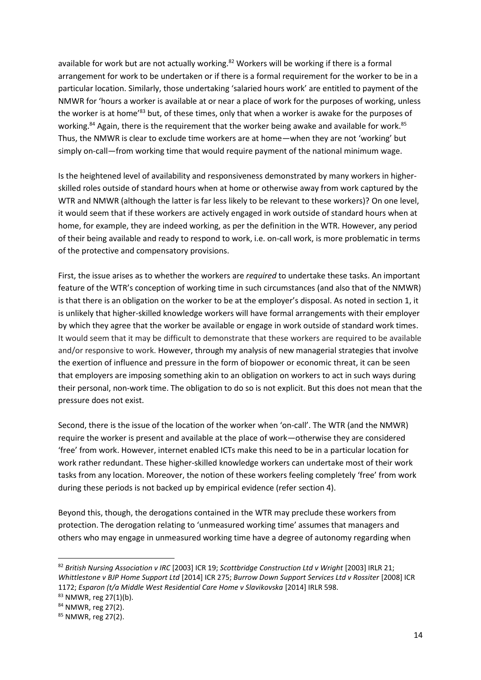available for work but are not actually working.<sup>82</sup> Workers will be working if there is a formal arrangement for work to be undertaken or if there is a formal requirement for the worker to be in a particular location. Similarly, those undertaking 'salaried hours work' are entitled to payment of the NMWR for 'hours a worker is available at or near a place of work for the purposes of working, unless the worker is at home<sup>'83</sup> but, of these times, only that when a worker is awake for the purposes of working.<sup>84</sup> Again, there is the requirement that the worker being awake and available for work.<sup>85</sup> Thus, the NMWR is clear to exclude time workers are at home—when they are not 'working' but simply on-call—from working time that would require payment of the national minimum wage.

Is the heightened level of availability and responsiveness demonstrated by many workers in higherskilled roles outside of standard hours when at home or otherwise away from work captured by the WTR and NMWR (although the latter is far less likely to be relevant to these workers)? On one level, it would seem that if these workers are actively engaged in work outside of standard hours when at home, for example, they are indeed working, as per the definition in the WTR. However, any period of their being available and ready to respond to work, i.e. on-call work, is more problematic in terms of the protective and compensatory provisions.

First, the issue arises as to whether the workers are *required* to undertake these tasks. An important feature of the WTR's conception of working time in such circumstances (and also that of the NMWR) is that there is an obligation on the worker to be at the employer's disposal. As noted in section 1, it is unlikely that higher-skilled knowledge workers will have formal arrangements with their employer by which they agree that the worker be available or engage in work outside of standard work times. It would seem that it may be difficult to demonstrate that these workers are required to be available and/or responsive to work. However, through my analysis of new managerial strategies that involve the exertion of influence and pressure in the form of biopower or economic threat, it can be seen that employers are imposing something akin to an obligation on workers to act in such ways during their personal, non-work time. The obligation to do so is not explicit. But this does not mean that the pressure does not exist.

Second, there is the issue of the location of the worker when 'on-call'. The WTR (and the NMWR) require the worker is present and available at the place of work—otherwise they are considered 'free' from work. However, internet enabled ICTs make this need to be in a particular location for work rather redundant. These higher-skilled knowledge workers can undertake most of their work tasks from any location. Moreover, the notion of these workers feeling completely 'free' from work during these periods is not backed up by empirical evidence (refer section 4).

Beyond this, though, the derogations contained in the WTR may preclude these workers from protection. The derogation relating to 'unmeasured working time' assumes that managers and others who may engage in unmeasured working time have a degree of autonomy regarding when

<sup>83</sup> NMWR, reg 27(1)(b).

<sup>84</sup> NMWR, reg 27(2).

<sup>82</sup> *British Nursing Association v IRC* [2003] ICR 19; *Scottbridge Construction Ltd v Wright* [2003] IRLR 21; *Whittlestone v BJP Home Support Ltd* [2014] ICR 275; *Burrow Down Support Services Ltd v Rossiter* [2008] ICR 1172; *Esparon (t/a Middle West Residential Care Home v Slavikovska* [2014] IRLR 598.

<sup>85</sup> NMWR, reg 27(2).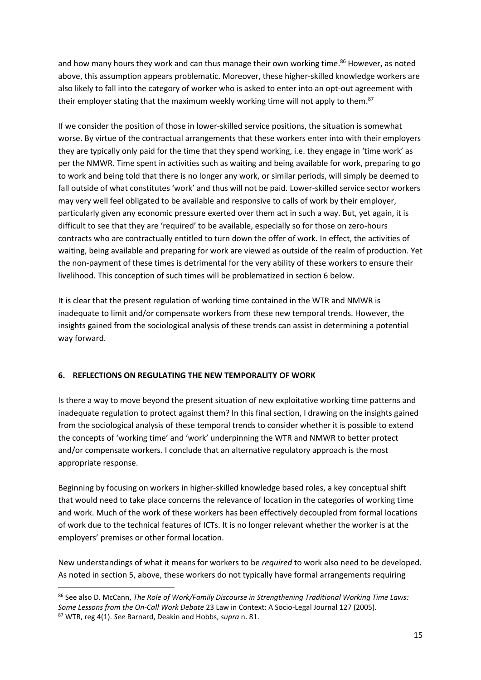and how many hours they work and can thus manage their own working time.<sup>86</sup> However, as noted above, this assumption appears problematic. Moreover, these higher-skilled knowledge workers are also likely to fall into the category of worker who is asked to enter into an opt-out agreement with their employer stating that the maximum weekly working time will not apply to them.<sup>87</sup>

If we consider the position of those in lower-skilled service positions, the situation is somewhat worse. By virtue of the contractual arrangements that these workers enter into with their employers they are typically only paid for the time that they spend working, i.e. they engage in 'time work' as per the NMWR. Time spent in activities such as waiting and being available for work, preparing to go to work and being told that there is no longer any work, or similar periods, will simply be deemed to fall outside of what constitutes 'work' and thus will not be paid. Lower-skilled service sector workers may very well feel obligated to be available and responsive to calls of work by their employer, particularly given any economic pressure exerted over them act in such a way. But, yet again, it is difficult to see that they are 'required' to be available, especially so for those on zero-hours contracts who are contractually entitled to turn down the offer of work. In effect, the activities of waiting, being available and preparing for work are viewed as outside of the realm of production. Yet the non-payment of these times is detrimental for the very ability of these workers to ensure their livelihood. This conception of such times will be problematized in section 6 below.

It is clear that the present regulation of working time contained in the WTR and NMWR is inadequate to limit and/or compensate workers from these new temporal trends. However, the insights gained from the sociological analysis of these trends can assist in determining a potential way forward.

# **6. REFLECTIONS ON REGULATING THE NEW TEMPORALITY OF WORK**

Is there a way to move beyond the present situation of new exploitative working time patterns and inadequate regulation to protect against them? In this final section, I drawing on the insights gained from the sociological analysis of these temporal trends to consider whether it is possible to extend the concepts of 'working time' and 'work' underpinning the WTR and NMWR to better protect and/or compensate workers. I conclude that an alternative regulatory approach is the most appropriate response.

Beginning by focusing on workers in higher-skilled knowledge based roles, a key conceptual shift that would need to take place concerns the relevance of location in the categories of working time and work. Much of the work of these workers has been effectively decoupled from formal locations of work due to the technical features of ICTs. It is no longer relevant whether the worker is at the employers' premises or other formal location.

New understandings of what it means for workers to be *required* to work also need to be developed. As noted in section 5, above, these workers do not typically have formal arrangements requiring

**<sup>.</sup>** <sup>86</sup> See also D. McCann, *The Role of Work/Family Discourse in Strengthening Traditional Working Time Laws: Some Lessons from the On-Call Work Debate* 23 Law in Context: A Socio-Legal Journal 127 (2005). <sup>87</sup> WTR, reg 4(1). *See* Barnard, Deakin and Hobbs, *supra* n. 81.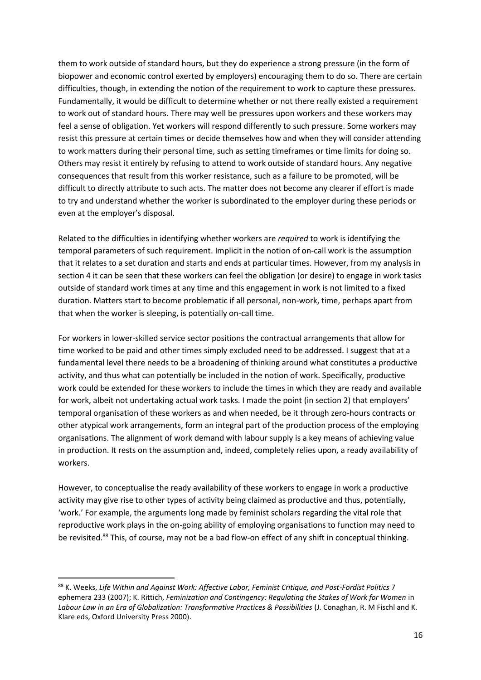them to work outside of standard hours, but they do experience a strong pressure (in the form of biopower and economic control exerted by employers) encouraging them to do so. There are certain difficulties, though, in extending the notion of the requirement to work to capture these pressures. Fundamentally, it would be difficult to determine whether or not there really existed a requirement to work out of standard hours. There may well be pressures upon workers and these workers may feel a sense of obligation. Yet workers will respond differently to such pressure. Some workers may resist this pressure at certain times or decide themselves how and when they will consider attending to work matters during their personal time, such as setting timeframes or time limits for doing so. Others may resist it entirely by refusing to attend to work outside of standard hours. Any negative consequences that result from this worker resistance, such as a failure to be promoted, will be difficult to directly attribute to such acts. The matter does not become any clearer if effort is made to try and understand whether the worker is subordinated to the employer during these periods or even at the employer's disposal.

Related to the difficulties in identifying whether workers are *required* to work is identifying the temporal parameters of such requirement. Implicit in the notion of on-call work is the assumption that it relates to a set duration and starts and ends at particular times. However, from my analysis in section 4 it can be seen that these workers can feel the obligation (or desire) to engage in work tasks outside of standard work times at any time and this engagement in work is not limited to a fixed duration. Matters start to become problematic if all personal, non-work, time, perhaps apart from that when the worker is sleeping, is potentially on-call time.

For workers in lower-skilled service sector positions the contractual arrangements that allow for time worked to be paid and other times simply excluded need to be addressed. I suggest that at a fundamental level there needs to be a broadening of thinking around what constitutes a productive activity, and thus what can potentially be included in the notion of work. Specifically, productive work could be extended for these workers to include the times in which they are ready and available for work, albeit not undertaking actual work tasks. I made the point (in section 2) that employers' temporal organisation of these workers as and when needed, be it through zero-hours contracts or other atypical work arrangements, form an integral part of the production process of the employing organisations. The alignment of work demand with labour supply is a key means of achieving value in production. It rests on the assumption and, indeed, completely relies upon, a ready availability of workers.

However, to conceptualise the ready availability of these workers to engage in work a productive activity may give rise to other types of activity being claimed as productive and thus, potentially, 'work.' For example, the arguments long made by feminist scholars regarding the vital role that reproductive work plays in the on-going ability of employing organisations to function may need to be revisited.<sup>88</sup> This, of course, may not be a bad flow-on effect of any shift in conceptual thinking.

<sup>88</sup> K. Weeks, *Life Within and Against Work: Affective Labor, Feminist Critique, and Post-Fordist Politics* 7 ephemera 233 (2007); K. Rittich, *Feminization and Contingency: Regulating the Stakes of Work for Women* in Labour Law in an Era of Globalization: Transformative Practices & Possibilities (J. Conaghan, R. M Fischl and K. Klare eds, Oxford University Press 2000).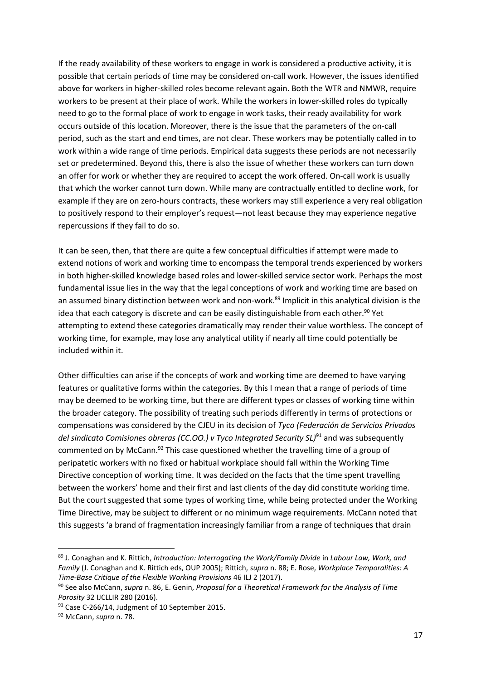If the ready availability of these workers to engage in work is considered a productive activity, it is possible that certain periods of time may be considered on-call work. However, the issues identified above for workers in higher-skilled roles become relevant again. Both the WTR and NMWR, require workers to be present at their place of work. While the workers in lower-skilled roles do typically need to go to the formal place of work to engage in work tasks, their ready availability for work occurs outside of this location. Moreover, there is the issue that the parameters of the on-call period, such as the start and end times, are not clear. These workers may be potentially called in to work within a wide range of time periods. Empirical data suggests these periods are not necessarily set or predetermined. Beyond this, there is also the issue of whether these workers can turn down an offer for work or whether they are required to accept the work offered. On-call work is usually that which the worker cannot turn down. While many are contractually entitled to decline work, for example if they are on zero-hours contracts, these workers may still experience a very real obligation to positively respond to their employer's request—not least because they may experience negative repercussions if they fail to do so.

It can be seen, then, that there are quite a few conceptual difficulties if attempt were made to extend notions of work and working time to encompass the temporal trends experienced by workers in both higher-skilled knowledge based roles and lower-skilled service sector work. Perhaps the most fundamental issue lies in the way that the legal conceptions of work and working time are based on an assumed binary distinction between work and non-work.<sup>89</sup> Implicit in this analytical division is the idea that each category is discrete and can be easily distinguishable from each other.<sup>90</sup> Yet attempting to extend these categories dramatically may render their value worthless. The concept of working time, for example, may lose any analytical utility if nearly all time could potentially be included within it.

Other difficulties can arise if the concepts of work and working time are deemed to have varying features or qualitative forms within the categories. By this I mean that a range of periods of time may be deemed to be working time, but there are different types or classes of working time within the broader category. The possibility of treating such periods differently in terms of protections or compensations was considered by the CJEU in its decision of *Tyco (Federación de Servicios Privados del sindicato Comisiones obreras (CC.OO.) v Tyco Integrated Security SL)*<sup>91</sup> and was subsequently commented on by McCann.<sup>92</sup> This case questioned whether the travelling time of a group of peripatetic workers with no fixed or habitual workplace should fall within the Working Time Directive conception of working time. It was decided on the facts that the time spent travelling between the workers' home and their first and last clients of the day did constitute working time. But the court suggested that some types of working time, while being protected under the Working Time Directive, may be subject to different or no minimum wage requirements. McCann noted that this suggests 'a brand of fragmentation increasingly familiar from a range of techniques that drain

<sup>89</sup> J. Conaghan and K. Rittich, *Introduction: Interrogating the Work/Family Divide* in *Labour Law, Work, and Family* (J. Conaghan and K. Rittich eds, OUP 2005); Rittich, *supra* n. 88; E. Rose, *Workplace Temporalities: A Time-Base Critique of the Flexible Working Provisions* 46 ILJ 2 (2017).

<sup>90</sup> See also McCann, *supra* n. 86, E. Genin, *Proposal for a Theoretical Framework for the Analysis of Time Porosity* 32 IJCLLIR 280 (2016).

<sup>&</sup>lt;sup>91</sup> Case C-266/14, Judgment of 10 September 2015.

<sup>92</sup> McCann, *supra* n. 78.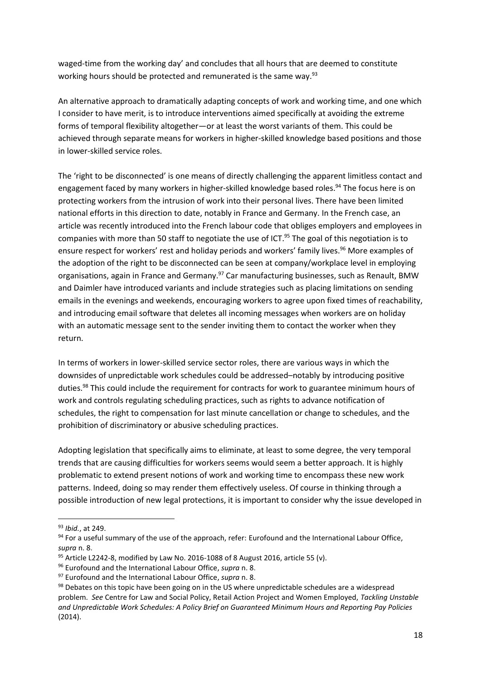waged-time from the working day' and concludes that all hours that are deemed to constitute working hours should be protected and remunerated is the same way.<sup>93</sup>

An alternative approach to dramatically adapting concepts of work and working time, and one which I consider to have merit, is to introduce interventions aimed specifically at avoiding the extreme forms of temporal flexibility altogether—or at least the worst variants of them. This could be achieved through separate means for workers in higher-skilled knowledge based positions and those in lower-skilled service roles.

The 'right to be disconnected' is one means of directly challenging the apparent limitless contact and engagement faced by many workers in higher-skilled knowledge based roles. <sup>94</sup> The focus here is on protecting workers from the intrusion of work into their personal lives. There have been limited national efforts in this direction to date, notably in France and Germany. In the French case, an article was recently introduced into the French labour code that obliges employers and employees in companies with more than 50 staff to negotiate the use of ICT. <sup>95</sup> The goal of this negotiation is to ensure respect for workers' rest and holiday periods and workers' family lives.<sup>96</sup> More examples of the adoption of the right to be disconnected can be seen at company/workplace level in employing organisations, again in France and Germany.<sup>97</sup> Car manufacturing businesses, such as Renault, BMW and Daimler have introduced variants and include strategies such as placing limitations on sending emails in the evenings and weekends, encouraging workers to agree upon fixed times of reachability, and introducing email software that deletes all incoming messages when workers are on holiday with an automatic message sent to the sender inviting them to contact the worker when they return.

In terms of workers in lower-skilled service sector roles, there are various ways in which the downsides of unpredictable work schedules could be addressed–notably by introducing positive duties.<sup>98</sup> This could include the requirement for contracts for work to guarantee minimum hours of work and controls regulating scheduling practices, such as rights to advance notification of schedules, the right to compensation for last minute cancellation or change to schedules, and the prohibition of discriminatory or abusive scheduling practices.

Adopting legislation that specifically aims to eliminate, at least to some degree, the very temporal trends that are causing difficulties for workers seems would seem a better approach. It is highly problematic to extend present notions of work and working time to encompass these new work patterns. Indeed, doing so may render them effectively useless. Of course in thinking through a possible introduction of new legal protections, it is important to consider why the issue developed in

<sup>93</sup> *Ibid.*, at 249.

<sup>94</sup> For a useful summary of the use of the approach, refer: Eurofound and the International Labour Office, *supra* n. 8.

 $95$  Article L2242-8, modified by Law No. 2016-1088 of 8 August 2016, article 55 (v).

<sup>96</sup> Eurofound and the International Labour Office, *supra* n. 8.

<sup>97</sup> Eurofound and the International Labour Office, *supra* n. 8.

<sup>98</sup> Debates on this topic have been going on in the US where unpredictable schedules are a widespread problem. *See* Centre for Law and Social Policy, Retail Action Project and Women Employed, *Tackling Unstable and Unpredictable Work Schedules: A Policy Brief on Guaranteed Minimum Hours and Reporting Pay Policies*  (2014).